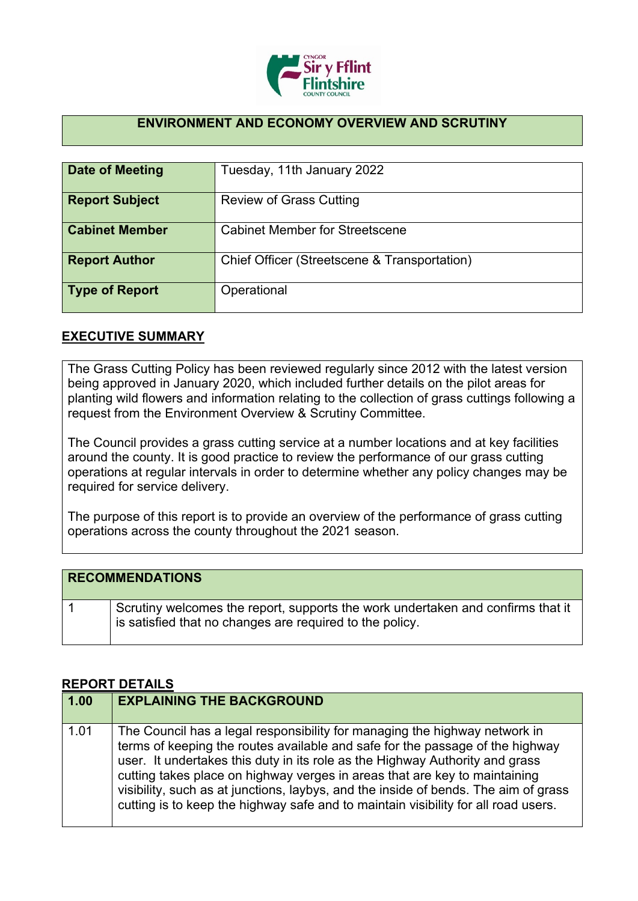

## **ENVIRONMENT AND ECONOMY OVERVIEW AND SCRUTINY**

| Date of Meeting       | Tuesday, 11th January 2022                   |
|-----------------------|----------------------------------------------|
| <b>Report Subject</b> | <b>Review of Grass Cutting</b>               |
| <b>Cabinet Member</b> | <b>Cabinet Member for Streetscene</b>        |
| <b>Report Author</b>  | Chief Officer (Streetscene & Transportation) |
| <b>Type of Report</b> | Operational                                  |

## **EXECUTIVE SUMMARY**

The Grass Cutting Policy has been reviewed regularly since 2012 with the latest version being approved in January 2020, which included further details on the pilot areas for planting wild flowers and information relating to the collection of grass cuttings following a request from the Environment Overview & Scrutiny Committee.

The Council provides a grass cutting service at a number locations and at key facilities around the county. It is good practice to review the performance of our grass cutting operations at regular intervals in order to determine whether any policy changes may be required for service delivery.

The purpose of this report is to provide an overview of the performance of grass cutting operations across the county throughout the 2021 season.

| <b>RECOMMENDATIONS</b>                                                                                                                      |
|---------------------------------------------------------------------------------------------------------------------------------------------|
| Scrutiny welcomes the report, supports the work undertaken and confirms that it<br>is satisfied that no changes are required to the policy. |

## **REPORT DETAILS**

| 1.00 | <b>EXPLAINING THE BACKGROUND</b>                                                                                                                                                                                                                                                                                                                                                                                                                                                                       |
|------|--------------------------------------------------------------------------------------------------------------------------------------------------------------------------------------------------------------------------------------------------------------------------------------------------------------------------------------------------------------------------------------------------------------------------------------------------------------------------------------------------------|
| 1.01 | The Council has a legal responsibility for managing the highway network in<br>terms of keeping the routes available and safe for the passage of the highway<br>user. It undertakes this duty in its role as the Highway Authority and grass<br>cutting takes place on highway verges in areas that are key to maintaining<br>visibility, such as at junctions, laybys, and the inside of bends. The aim of grass<br>cutting is to keep the highway safe and to maintain visibility for all road users. |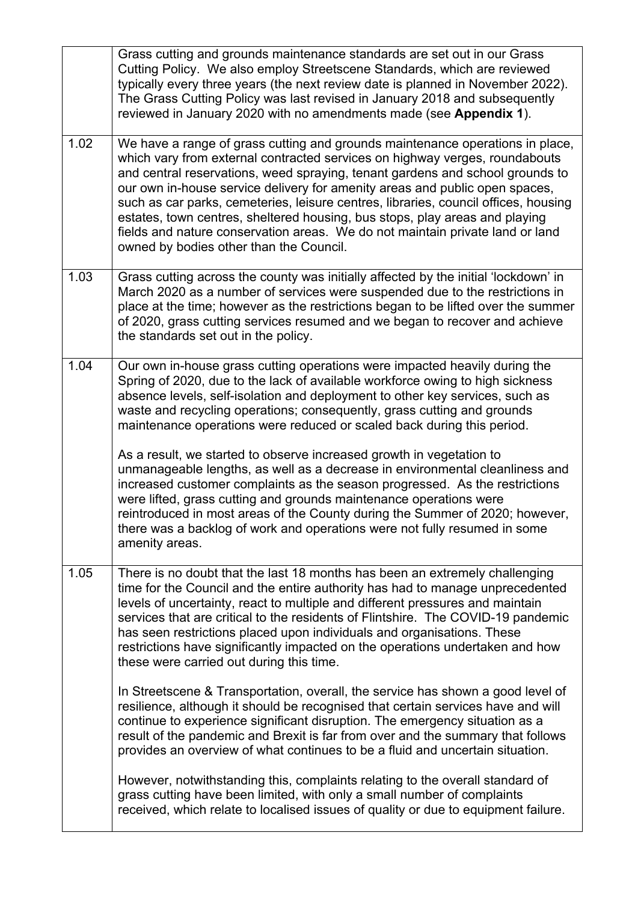|      | Grass cutting and grounds maintenance standards are set out in our Grass<br>Cutting Policy. We also employ Streetscene Standards, which are reviewed<br>typically every three years (the next review date is planned in November 2022).<br>The Grass Cutting Policy was last revised in January 2018 and subsequently<br>reviewed in January 2020 with no amendments made (see Appendix 1).                                                                                                                                                                                                                                                                                                                                                                                                                                                                                                  |
|------|----------------------------------------------------------------------------------------------------------------------------------------------------------------------------------------------------------------------------------------------------------------------------------------------------------------------------------------------------------------------------------------------------------------------------------------------------------------------------------------------------------------------------------------------------------------------------------------------------------------------------------------------------------------------------------------------------------------------------------------------------------------------------------------------------------------------------------------------------------------------------------------------|
| 1.02 | We have a range of grass cutting and grounds maintenance operations in place,<br>which vary from external contracted services on highway verges, roundabouts<br>and central reservations, weed spraying, tenant gardens and school grounds to<br>our own in-house service delivery for amenity areas and public open spaces,<br>such as car parks, cemeteries, leisure centres, libraries, council offices, housing<br>estates, town centres, sheltered housing, bus stops, play areas and playing<br>fields and nature conservation areas. We do not maintain private land or land<br>owned by bodies other than the Council.                                                                                                                                                                                                                                                               |
| 1.03 | Grass cutting across the county was initially affected by the initial 'lockdown' in<br>March 2020 as a number of services were suspended due to the restrictions in<br>place at the time; however as the restrictions began to be lifted over the summer<br>of 2020, grass cutting services resumed and we began to recover and achieve<br>the standards set out in the policy.                                                                                                                                                                                                                                                                                                                                                                                                                                                                                                              |
| 1.04 | Our own in-house grass cutting operations were impacted heavily during the<br>Spring of 2020, due to the lack of available workforce owing to high sickness<br>absence levels, self-isolation and deployment to other key services, such as<br>waste and recycling operations; consequently, grass cutting and grounds<br>maintenance operations were reduced or scaled back during this period.<br>As a result, we started to observe increased growth in vegetation to<br>unmanageable lengths, as well as a decrease in environmental cleanliness and<br>increased customer complaints as the season progressed. As the restrictions<br>were lifted, grass cutting and grounds maintenance operations were<br>reintroduced in most areas of the County during the Summer of 2020; however,<br>there was a backlog of work and operations were not fully resumed in some<br>amenity areas. |
| 1.05 | There is no doubt that the last 18 months has been an extremely challenging<br>time for the Council and the entire authority has had to manage unprecedented<br>levels of uncertainty, react to multiple and different pressures and maintain<br>services that are critical to the residents of Flintshire. The COVID-19 pandemic<br>has seen restrictions placed upon individuals and organisations. These<br>restrictions have significantly impacted on the operations undertaken and how<br>these were carried out during this time.                                                                                                                                                                                                                                                                                                                                                     |
|      | In Streetscene & Transportation, overall, the service has shown a good level of<br>resilience, although it should be recognised that certain services have and will<br>continue to experience significant disruption. The emergency situation as a<br>result of the pandemic and Brexit is far from over and the summary that follows<br>provides an overview of what continues to be a fluid and uncertain situation.<br>However, notwithstanding this, complaints relating to the overall standard of<br>grass cutting have been limited, with only a small number of complaints                                                                                                                                                                                                                                                                                                           |
|      | received, which relate to localised issues of quality or due to equipment failure.                                                                                                                                                                                                                                                                                                                                                                                                                                                                                                                                                                                                                                                                                                                                                                                                           |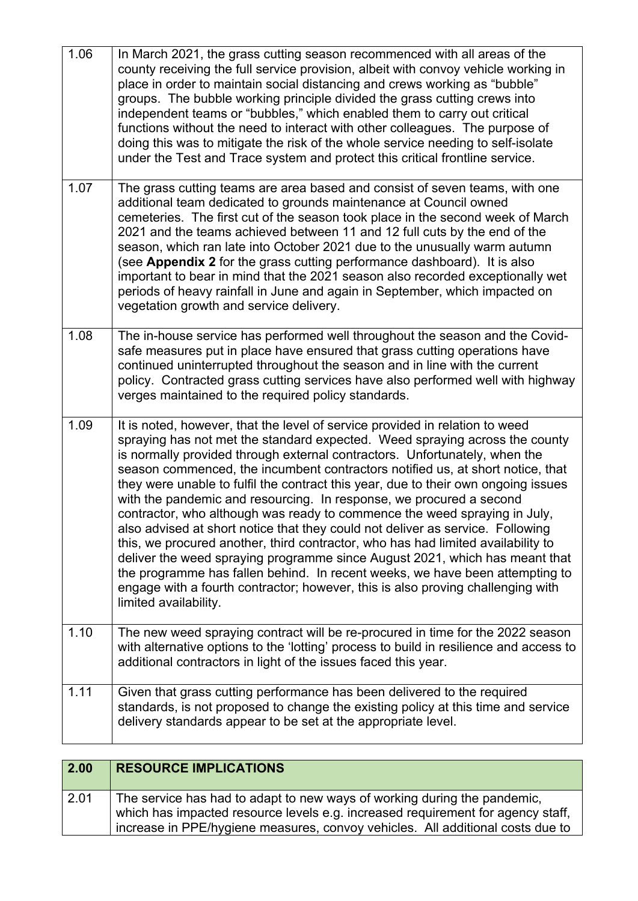| 1.06 | In March 2021, the grass cutting season recommenced with all areas of the<br>county receiving the full service provision, albeit with convoy vehicle working in<br>place in order to maintain social distancing and crews working as "bubble"<br>groups. The bubble working principle divided the grass cutting crews into<br>independent teams or "bubbles," which enabled them to carry out critical<br>functions without the need to interact with other colleagues. The purpose of<br>doing this was to mitigate the risk of the whole service needing to self-isolate<br>under the Test and Trace system and protect this critical frontline service.                                                                                                                                                                                                                                                                                                                                                             |
|------|------------------------------------------------------------------------------------------------------------------------------------------------------------------------------------------------------------------------------------------------------------------------------------------------------------------------------------------------------------------------------------------------------------------------------------------------------------------------------------------------------------------------------------------------------------------------------------------------------------------------------------------------------------------------------------------------------------------------------------------------------------------------------------------------------------------------------------------------------------------------------------------------------------------------------------------------------------------------------------------------------------------------|
| 1.07 | The grass cutting teams are area based and consist of seven teams, with one<br>additional team dedicated to grounds maintenance at Council owned<br>cemeteries. The first cut of the season took place in the second week of March<br>2021 and the teams achieved between 11 and 12 full cuts by the end of the<br>season, which ran late into October 2021 due to the unusually warm autumn<br>(see Appendix 2 for the grass cutting performance dashboard). It is also<br>important to bear in mind that the 2021 season also recorded exceptionally wet<br>periods of heavy rainfall in June and again in September, which impacted on<br>vegetation growth and service delivery.                                                                                                                                                                                                                                                                                                                                   |
| 1.08 | The in-house service has performed well throughout the season and the Covid-<br>safe measures put in place have ensured that grass cutting operations have<br>continued uninterrupted throughout the season and in line with the current<br>policy. Contracted grass cutting services have also performed well with highway<br>verges maintained to the required policy standards.                                                                                                                                                                                                                                                                                                                                                                                                                                                                                                                                                                                                                                     |
| 1.09 | It is noted, however, that the level of service provided in relation to weed<br>spraying has not met the standard expected. Weed spraying across the county<br>is normally provided through external contractors. Unfortunately, when the<br>season commenced, the incumbent contractors notified us, at short notice, that<br>they were unable to fulfil the contract this year, due to their own ongoing issues<br>with the pandemic and resourcing. In response, we procured a second<br>contractor, who although was ready to commence the weed spraying in July,<br>also advised at short notice that they could not deliver as service. Following<br>this, we procured another, third contractor, who has had limited availability to<br>deliver the weed spraying programme since August 2021, which has meant that<br>the programme has fallen behind. In recent weeks, we have been attempting to<br>engage with a fourth contractor; however, this is also proving challenging with<br>limited availability. |
| 1.10 | The new weed spraying contract will be re-procured in time for the 2022 season<br>with alternative options to the 'lotting' process to build in resilience and access to<br>additional contractors in light of the issues faced this year.                                                                                                                                                                                                                                                                                                                                                                                                                                                                                                                                                                                                                                                                                                                                                                             |
| 1.11 | Given that grass cutting performance has been delivered to the required<br>standards, is not proposed to change the existing policy at this time and service<br>delivery standards appear to be set at the appropriate level.                                                                                                                                                                                                                                                                                                                                                                                                                                                                                                                                                                                                                                                                                                                                                                                          |

| 2.00 | <b>RESOURCE IMPLICATIONS</b>                                                                                                                                                                                                                  |
|------|-----------------------------------------------------------------------------------------------------------------------------------------------------------------------------------------------------------------------------------------------|
| 2.01 | The service has had to adapt to new ways of working during the pandemic,<br>which has impacted resource levels e.g. increased requirement for agency staff,<br>increase in PPE/hygiene measures, convoy vehicles. All additional costs due to |